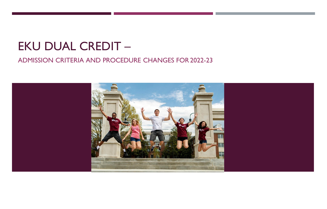# EKU DUAL CREDIT –

#### ADMISSION CRITERIA AND PROCEDURE CHANGES FOR 2022-23

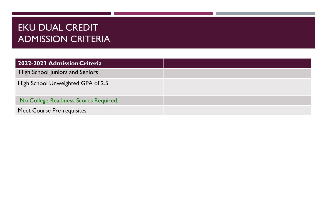## EKU DUAL CREDIT ADMISSION CRITERIA

| 2022-2023 Admission Criteria          |  |
|---------------------------------------|--|
| High School Juniors and Seniors       |  |
| High School Unweighted GPA of 2.5     |  |
| No College Readiness Scores Required. |  |
| <b>Meet Course Pre-requisites</b>     |  |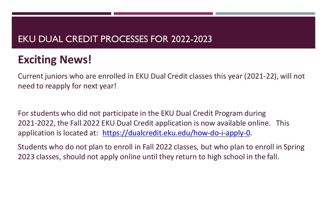## EKU DUAL CREDIT PROCESSES FOR 2022-2023

# **Exciting News!**

Current juniors who are enrolled in EKU Dual Credit classes this year (2021-22), will not need to reapply for next year!

For students who did not participate in the EKU Dual Credit Program during 2021-2022, the Fall 2022 EKU Dual Credit application is now available online. This application is located at: [https://dualcredit.eku.edu/how-do-i-apply-0.](https://dualcredit.eku.edu/how-do-i-apply-0)

Students who do not plan to enroll in Fall 2022 classes, but who plan to enroll in Spring 2023 classes, should not apply online until they return to high school in the fall.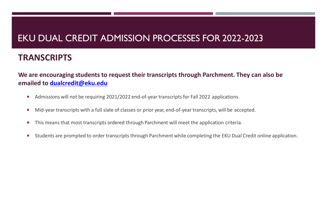## EKU DUAL CREDIT ADMISSION PROCESSES FOR 2022-2023

#### **TRANSCRIPTS**

#### **We are encouraging students to request their transcripts through Parchment. They can also be emailed to [dualcredit@eku.edu](mailto:dualcredit@eku.edu)**

- Admissions will not be requiring 2021/2022 end-of-year transcripts for Fall 2022 applications.
- Mid-year transcripts with a full slate of classes or prior year, end-of-year transcripts, will be accepted.
- This means that most transcripts ordered through Parchment will meet the application criteria.
- **Students are prompted to order transcripts through Parchment while completing the EKU Dual Credit online application.**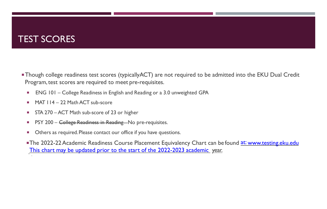### TEST SCORES

- Though college readiness test scores (typicallyACT) are not required to be admitted into the EKU Dual Credit Program, test scores are required to meet pre-requisites.
	- ENG 101 College Readiness in English and Reading or a 3.0 unweighted GPA
	- $MAT$   $114 22$  Math ACT sub-score
	- **STA 270 ACT Math sub-score of 23 or higher**
	- **PSY 200 College Readiness in Reading No pre-requisites.**
	- **D** Others as required. Please contact our office if you have questions.
	- **The 2022-22 Academic Readiness Course Placement Equivalency Chart can be found [at:](http://www.testing.eku.edu/) www.testing.eku.edu** [This chart may be updated prior to the start of the 2022-2023 academic year.](http://www.testing.eku.eduThischartmaybeupdatedpriortothestartofthe2022-2023academic/)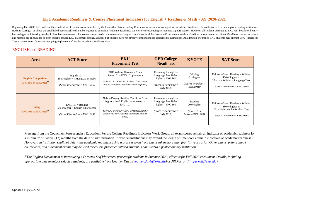#### **EKU Academic Readiness & Course Placement Indicators for English + Reading & Math ~ AY 2020-2021**

Beginning Fall 2020, EKU will use these indicators of readiness as established by the Council on Postsecondary Education as measure of college-level Academic Readiness. Upon admission to a public postsecondary institution, students scoring at or above the established benchmarks will not be required to complete Academic Readiness courses or corresponding co-requisite support courses. However, all students admitted to EKU will be allowed entry into college credit-bearing Academic Readiness coursework that counts toward credit requirements and degree completion. Italicized notes indicate when a student should be placed into an Academic Readiness course. Advisors and mentors are encouraged to steer students toward EKU placement testing, as needed, if students have not already completed those assessments. Remember: All admitted or enrolled EKU students may attempt EKU Placement Testing twice, even if they are attempting to place out of a failed Academic Readiness class.

#### ENGLISH and READING

| <b>Area</b>                                         | <b>ACT Score</b>                                                                                 | <b>EKU</b><br><b>Placement Test</b>                                                                                                                                                                    | <b>GED College</b><br><b>Readiness</b>                                                                              | <b>KYOTE</b>                                                 | <b>SAT Score</b>                                                                                                              |
|-----------------------------------------------------|--------------------------------------------------------------------------------------------------|--------------------------------------------------------------------------------------------------------------------------------------------------------------------------------------------------------|---------------------------------------------------------------------------------------------------------------------|--------------------------------------------------------------|-------------------------------------------------------------------------------------------------------------------------------|
| <b>English Composition</b><br>ENG 101 or ENG101R*   | English $101 =$<br>18 or higher + Reading 20 or higher<br>(Score 17 or below = $ENGI01R$ )       | <b>EKU Writing Placement Exam</b><br>Score $101 = ENG 101$ placement<br>Score $101R = ENG 101R$ (even if the student<br>has no Academic Readiness Reading need)                                        | Reasoning through the<br>Language Arts 165 or<br>higher = $ENG$ 101<br>(Score 164 or below $=$<br>$ENG$ 101 $R$ )   | Writing<br>6 or higher<br>(Score 5 or below $=$<br>ENG101R)  | Evidence-Based Reading + Writing<br>480 or higher or<br>25 on the Writing + Language Test<br>$(Score 479 or below = ENG101R)$ |
| <b>Reading</b><br>ENG 101 or $ENG101R$ <sup>*</sup> | $ENG 101 = Reading$<br>20 or higher $+$ English 18 or higher<br>(Score 19 or below = $ENGI01R$ ) | Nelson-Denney Reading Test Score 31 or<br>higher + $*no*$ English requirement =<br><b>ENG 101</b><br>Score 30 or below = ENG $101R$ (even if the<br>student has no Academic Readiness English<br>need) | Reasoning through the<br>Language Arts 165 or<br>higher = $ENG$ 101<br>(Score 164 or below $=$<br><i>ENG 101R</i> ) | Reading<br>20 or higher<br>(Score 19 or<br>$below = ENG101R$ | Evidence-Based Reading + Writing<br>480 or higher or<br>25 or higher on the Reading Test<br>(Score 479 or below = $ENGI01R$ ) |

Message from the Council on Postsecondary Education: Per the College Readiness Indicators Work Group, all exam scores remain an indicator of academic readiness for a minimum of twelve (12) months from the date of administration. Individual institutions may extend the length of time scores remain indicators of academic readiness. *However, an institution shall not determine academic readiness using scores received from exams taken more than four (4) years prior. Other exams, prior college coursework, and placement exams may be used for course placement after a student is admitted to a postsecondary institution.*

*\*The English Department is introducing a Directed Self Placement process for students in Summer 2020, effective for Fall 2020 enrollment. Details, including appropriate placement for selected students, are available from Heather Davis [\(heather.davis@eku.edu\)](mailto:heather.davis@eku.edu) or Jill Parrott [\(jill.parrott@eku.edu\)](mailto:jill.parrott@eku.edu).*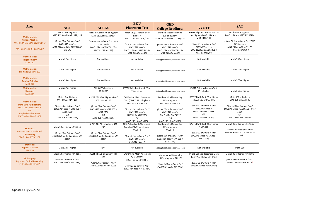|                                                                                               |                                                                                                          |                                                                                                               | <b>EKU</b>                                                                                                             | <b>GED</b>                                                                                                                 |                                                                                                           |                                                                                                       |
|-----------------------------------------------------------------------------------------------|----------------------------------------------------------------------------------------------------------|---------------------------------------------------------------------------------------------------------------|------------------------------------------------------------------------------------------------------------------------|----------------------------------------------------------------------------------------------------------------------------|-----------------------------------------------------------------------------------------------------------|-------------------------------------------------------------------------------------------------------|
| <b>Area</b>                                                                                   | <b>ACT</b>                                                                                               | <b>ALEKS</b>                                                                                                  | <b>Placement Test</b>                                                                                                  | <b>College Readiness</b>                                                                                                   | <b>KYOTE</b>                                                                                              | <b>SAT</b>                                                                                            |
| <b>Mathematics:</b>                                                                           | Math 22 or higher =<br>MAT 112A and MAT 112B/114                                                         | ALEKS PPL Score 46 or higher =<br>MAT 112A and 112B/114                                                       | Math 112/114 Exam 14 or<br>higher $=$                                                                                  | <b>Mathematical Reasoning</b><br>175 or higher $=$                                                                         | KYOTE Algebra Domain Test 14<br>or higher = MAT 112A and                                                  | Math 530 or higher =<br>MAT 112A and MAT 112B/114                                                     |
| <b>College Algebra</b><br>MAT 112A and MAT 112B/114 or<br>MAT 112A and $B + 112AP/BP$         | (Score 21 or below + *no*<br>$ENG101R need =$<br>MAT 112A and $B + MAT$ 112AP<br>and BP)                 | (Score 45 or below + *no* ENG<br>$101R$ need =<br>MAT 112A and MAT 112B +<br>MAT 112AP and BP)                | MAT 112A and 112B/114<br>(Score 13 or below + *no*<br>$ENG101R need =$<br>MAT 112A and MAT 112B +<br>MAT 112AP and BP) | MAT 112A and MAT 112B/114<br>(Score 174 or below + *no*<br>$ENG101R need =$<br>MAT 112A and MAT 112B+<br>MAT 112AP and BP) | MAT 112B/114<br>(Score 13 or below + *no*<br>$ENG101R need =$<br>MAT 112A and MAT 112B +<br>MAT 112AP/BP) | (Score 529 or below + *no* ENG<br>$101R$ need =<br>MAT 112A and MAT 112B<br>+ MAT 112AP/BP)           |
| <b>Mathematics:</b><br><b>Trigonometry</b><br><b>MAT 120</b>                                  | Math 22 or higher                                                                                        | Not available                                                                                                 | Not available                                                                                                          | Not applicable as a placement score                                                                                        | Not available                                                                                             | Math 560 or higher                                                                                    |
| <b>Mathematics:</b><br><b>Pre-Calculus MAT 122</b>                                            | Math 23 or higher                                                                                        | Not available                                                                                                 | Not available                                                                                                          | Not applicable as a placement score                                                                                        | Not available                                                                                             | Math 570 or higher                                                                                    |
| <b>Mathematics:</b><br><b>Applied Calculus</b><br><b>MAT 211</b>                              | Math 23 or higher                                                                                        | Not available                                                                                                 | Not available                                                                                                          | Not applicable as a placement score                                                                                        | Not available                                                                                             | Math 570 or higher                                                                                    |
| <b>Mathematics:</b><br><b>Calculus</b><br><b>MAT 234</b>                                      | Math 27 or higher                                                                                        | ALEKS PPL Score 76<br>or higher                                                                               | <b>KYOTE Calculus Domain Test</b><br>15 or higher                                                                      | Not applicable as a placement score                                                                                        | <b>KYOTE Calculus Domain Test</b><br>15 or higher                                                         | Math 650 or higher                                                                                    |
| <b>Mathematics:</b><br><b>Math with Applications</b>                                          | Math 19 or higher =<br>MAT 105 or MAT 106                                                                | ALEKS PPL 30 or higher = MAT<br>105 or MAT 106                                                                | <b>EKU Online Math Placement</b><br>Test (OMPT) 22 or higher =<br>MAT 105 or MAT 106                                   | <b>Mathematical Reasoning</b><br>165 or higher =<br>MAT 105 or MAT 106                                                     | KYOTE Math Test 22 or higher<br>= MAT 105 or MAT 106<br>(Score 21 or below + $*$ no $*$                   | Math 500 or higher =<br>MAT 105 or MAT 106                                                            |
| MAT 105 and MAT105P<br><b>OR</b><br><b>Applied Mathematics</b><br><b>MAT 106 and MAT 106P</b> | (Score 18 or below + $*no*$<br>$ENG101R need = MAT 105 +$<br><b>MAT105P</b><br>OR<br>MAT 106 + MAT 106P) | (Score 29 or below + $*$ no $*$<br>$ENG101R need = MAT 105 +$<br><b>MAT 105P</b><br>OR<br>MAT 106 + MAT 106P) | (Score 21 or below + *no*<br>$ENG101R need =$<br>MAT 105 + MAT 105P<br>OR                                              | (Score 164 or below + *no*<br>$ENG101R need =$<br>MAT 105 + MAT 105P<br>OR                                                 | $ENG101R need =$<br>MAT 105 + MAT 105 P<br>OR<br>MAT 106 + MAT106P)                                       | (Score 499 or below + *no*<br>$ENG101R need = MAT 105 + MAT$<br>105P<br>OR<br>MAT 106 + MAT 106P)     |
|                                                                                               |                                                                                                          |                                                                                                               | MAT 106 + MAT 106P)                                                                                                    | MAT 106 + MAT 106P)                                                                                                        |                                                                                                           |                                                                                                       |
| <b>Statistics:</b><br><b>Introduction to Statistical</b><br><b>Reasoning</b>                  | Math 19 or higher = STA 215<br>(Score 18 or below + $*no*$                                               | ALEKS PPL 30 or higher = STA<br>215<br>(Score 29 or below + $*no*$                                            | <b>EKU Online Math Placement</b><br>Test (OMPT) 22 or higher =<br><b>STA 215</b>                                       | <b>Mathematical Reasoning</b><br>165 or higher =<br><b>STA 215</b><br>(Score 164 or below + $*no*$                         | KYOTE Math Test 22 or higher<br>$=$ STA 215<br>(Score 21 or below + $*no*$<br>ENG101R need = STA 215 +    | Math 500 or higher = STA 215<br>(Score 499 or below + *no*<br>$ENG101R need = STA 215 + STA$<br>215P) |
| STA 215 and STA 215P                                                                          | $ENG101R need = STA 215 + STA$<br>215P)                                                                  | $ENG101R need = STA 215 + STA$<br>215P)                                                                       | (Score 21 or below + $*no*$<br>$ENG101R need =$<br>STA 215 + 215P)                                                     | ENG101R need = STA 215 +<br>STA 215 P)                                                                                     | STA 215P)                                                                                                 |                                                                                                       |
| <b>Statistics:</b><br><b>Applied Statistics</b><br><b>STA 270</b>                             | Math 23 or higher                                                                                        | N/A                                                                                                           | Not available                                                                                                          | Not applicable as a placement score                                                                                        | Not available                                                                                             | Math 560                                                                                              |
| Philosophy:<br><b>Logic and Critical Reasoning</b>                                            | Math 19 or higher = PHI 101<br>(Score 18 or below + *no*<br>$ENG101R need = PHI 101R$                    | ALEKS PPL 30 or higher = PHI<br>101                                                                           | <b>EKU Online Math Placement</b><br>Test (OMPT)<br>22 or higher = PHI 101                                              | <b>Mathematical Reasoning</b><br>165 or higher = PHI 101                                                                   | <b>KYOTE College Readiness Math</b><br>Test 22 or higher = PHI 101                                        | Math 500 or higher = PHI 101<br>(Score 499 or below + *no*<br>$ENG101R need = PHI 101R$               |
| PHI 101 and PHI 101R                                                                          |                                                                                                          | (Score 29 or below + $*no*$<br>$ENG101R need = PHI101R)$                                                      | (Score 21 or below + $*no*$<br>$ENG101R need = PHI101R$                                                                | (Score 164 or below + *no*<br>$ENG101R need = PHI101R$                                                                     | (Score 21 or below + $*no*$<br>$ENG101R need = PHI101R$                                                   |                                                                                                       |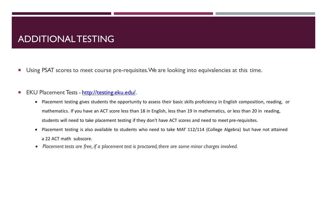### ADDITIONALTESTING

**Using PSAT scores to meet course pre-requisites. We are looking into equivalencies at this time.** 

#### **EKU Placement Tests - <http://testing.eku.edu/>.**

- Placement testing gives students the opportunity to assess their basic skills proficiency in English composition, reading, or mathematics. If you have an ACT score less than 18 in English, less than 19 in mathematics, or less than 20 in reading, students will need to take placement testing if they don't have ACT scores and need to meet pre-requisites.
- Placement testing is also available to students who need to take MAT 112/114 (College Algebra) but have not attained a 22 ACT math subscore.
- *Placement tests are free, if a placement test is proctored, there are some minor charges involved.*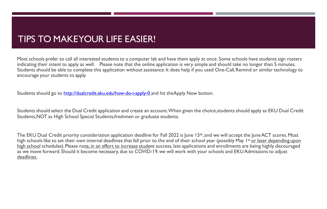#### TIPS TO MAKEYOUR LIFE EASIER!

Most schools prefer to call all interested students to a computer lab and have them apply at once. Some schools have students sign rosters indicating their intent to apply as well. Please note that the online application is very simple and should take no longer than 5 minutes. Students should be able to complete this application without assistance. It does help if you used One-Call, Remind or similar technology to encourage your students to apply.

Students should go to <http://dualcredit.eku.edu/how-do-i-apply-0> and hit theApply Now button.

Students should select the Dual Credit application and create an account.When given the choice,students should apply as EKU Dual Credit Students,NOT as High School Special Students,freshmen or graduate students.

The EKU Dual Credit priority consideriation application deadline for Fall 2022 is June 15<sup>th</sup>, and we will accept the June ACT scores. Most high schools like to set their own internal deadlines that fall prior to the end of their school year (possibly May 1st <u>or later depending upon</u> high school schedules). Please note, in an effort to increase student success, late applications and enrollments are being highly discouraged as we move forward. Should it become necessary, due to COVID-19, we will work with your schools and EKU Admissions to adjust deadlines.